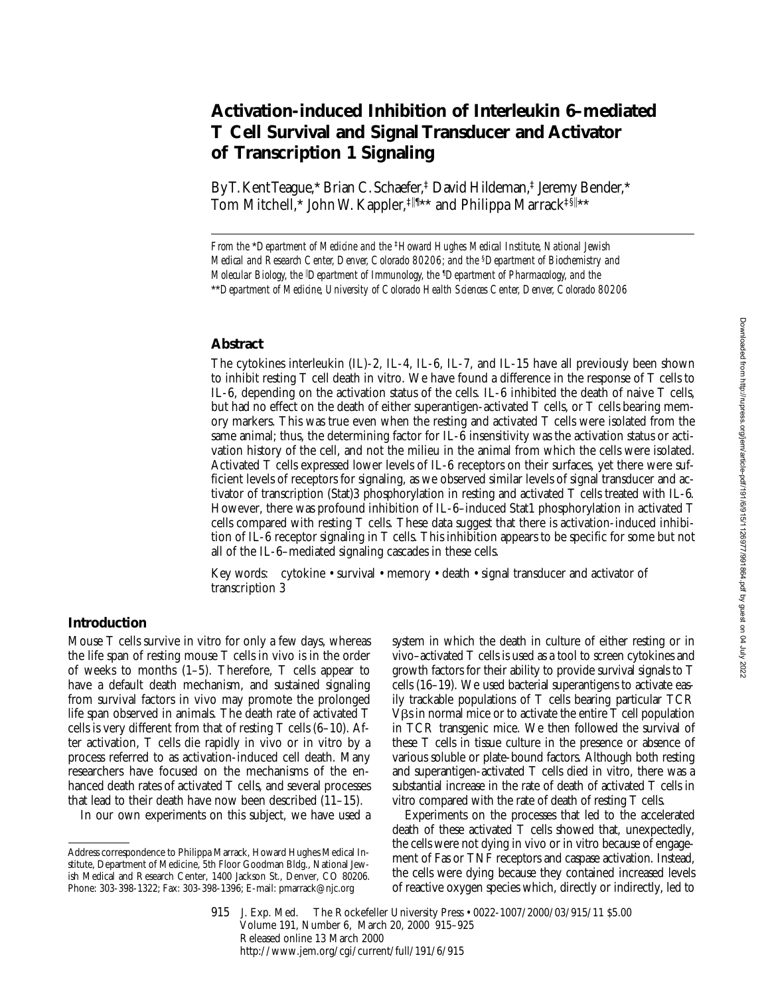# **Activation-induced Inhibition of Interleukin 6–mediated T Cell Survival and Signal Transducer and Activator of Transcription 1 Signaling**

By T. Kent Teague,\* Brian C. Schaefer,‡ David Hildeman,‡ Jeremy Bender,\* Tom Mitchell,\* John W. Kappler,‡<sup>i</sup>¶ \*\* and Philippa Marrack‡§<sup>i</sup> \*\*

*From the* \**Department of Medicine and the* ‡*Howard Hughes Medical Institute, National Jewish Medical and Research Center, Denver, Colorado 80206; and the* §*Department of Biochemistry and Molecular Biology, the* <sup>i</sup> *Department of Immunology, the ¶ Department of Pharmacology, and the*  \*\**Department of Medicine, University of Colorado Health Sciences Center, Denver, Colorado 80206*

### **Abstract**

The cytokines interleukin (IL)-2, IL-4, IL-6, IL-7, and IL-15 have all previously been shown to inhibit resting T cell death in vitro. We have found a difference in the response of T cells to IL-6, depending on the activation status of the cells. IL-6 inhibited the death of naive T cells, but had no effect on the death of either superantigen-activated T cells, or T cells bearing memory markers. This was true even when the resting and activated T cells were isolated from the same animal; thus, the determining factor for  $IL-6$  insensitivity was the activation status or activation history of the cell, and not the milieu in the animal from which the cells were isolated. Activated T cells expressed lower levels of IL-6 receptors on their surfaces, yet there were sufficient levels of receptors for signaling, as we observed similar levels of signal transducer and activator of transcription (Stat)3 phosphorylation in resting and activated T cells treated with IL-6. However, there was profound inhibition of IL-6–induced Stat1 phosphorylation in activated T cells compared with resting T cells. These data suggest that there is activation-induced inhibition of IL-6 receptor signaling in T cells. This inhibition appears to be specific for some but not all of the IL-6–mediated signaling cascades in these cells.

Key words: cytokine • survival • memory • death • signal transducer and activator of transcription 3

#### **Introduction**

Mouse T cells survive in vitro for only a few days, whereas the life span of resting mouse T cells in vivo is in the order of weeks to months (1–5). Therefore, T cells appear to have a default death mechanism, and sustained signaling from survival factors in vivo may promote the prolonged life span observed in animals. The death rate of activated T cells is very different from that of resting  $T$  cells (6–10). After activation, T cells die rapidly in vivo or in vitro by a process referred to as activation-induced cell death. Many researchers have focused on the mechanisms of the enhanced death rates of activated T cells, and several processes that lead to their death have now been described (11–15).

In our own experiments on this subject, we have used a

system in which the death in culture of either resting or in vivo–activated T cells is used as a tool to screen cytokines and growth factors for their ability to provide survival signals to T cells (16–19). We used bacterial superantigens to activate easily trackable populations of T cells bearing particular TCR V<sub>Bs</sub> in normal mice or to activate the entire T cell population in TCR transgenic mice. We then followed the survival of these T cells in tissue culture in the presence or absence of various soluble or plate-bound factors. Although both resting and superantigen-activated T cells died in vitro, there was a substantial increase in the rate of death of activated T cells in vitro compared with the rate of death of resting T cells.

Experiments on the processes that led to the accelerated death of these activated T cells showed that, unexpectedly, the cells were not dying in vivo or in vitro because of engagement of Fas or TNF receptors and caspase activation. Instead, the cells were dying because they contained increased levels of reactive oxygen species which, directly or indirectly, led to

915 J. Exp. Med. The Rockefeller University Press • 0022-1007/2000/03/915/11 \$5.00 Volume 191, Number 6, March 20, 2000 915–925 Released online 13 March 2000 http://www.jem.org/cgi/current/full/191/6/915

Address correspondence to Philippa Marrack, Howard Hughes Medical Institute, Department of Medicine, 5th Floor Goodman Bldg., National Jewish Medical and Research Center, 1400 Jackson St., Denver, CO 80206. Phone: 303-398-1322; Fax: 303-398-1396; E-mail: pmarrack@njc.org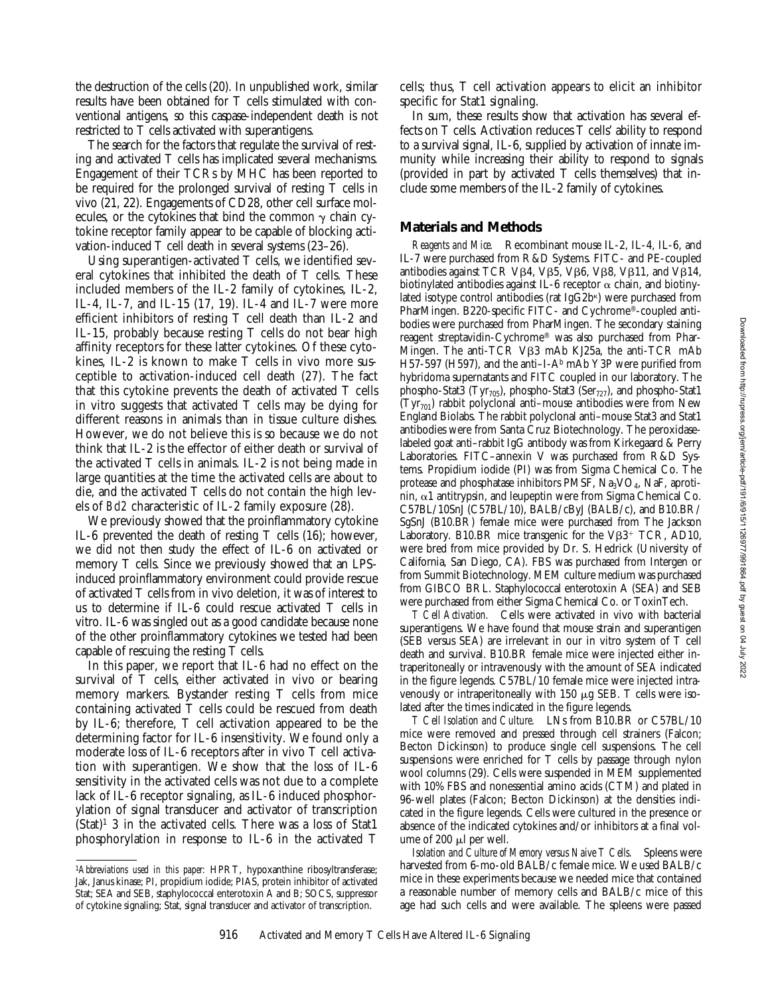the destruction of the cells (20). In unpublished work, similar results have been obtained for T cells stimulated with conventional antigens, so this caspase-independent death is not restricted to T cells activated with superantigens.

The search for the factors that regulate the survival of resting and activated T cells has implicated several mechanisms. Engagement of their TCRs by MHC has been reported to be required for the prolonged survival of resting T cells in vivo (21, 22). Engagements of CD28, other cell surface molecules, or the cytokines that bind the common  $\gamma$  chain cytokine receptor family appear to be capable of blocking activation-induced T cell death in several systems (23–26).

Using superantigen-activated T cells, we identified several cytokines that inhibited the death of T cells. These included members of the IL-2 family of cytokines, IL-2, IL-4, IL-7, and IL-15  $(17, 19)$ . IL-4 and IL-7 were more efficient inhibitors of resting T cell death than IL-2 and IL-15, probably because resting T cells do not bear high affinity receptors for these latter cytokines. Of these cytokines, IL-2 is known to make T cells in vivo more susceptible to activation-induced cell death (27). The fact that this cytokine prevents the death of activated T cells in vitro suggests that activated T cells may be dying for different reasons in animals than in tissue culture dishes. However, we do not believe this is so because we do not think that IL-2 is the effector of either death or survival of the activated T cells in animals. IL-2 is not being made in large quantities at the time the activated cells are about to die, and the activated T cells do not contain the high levels of *Bcl2* characteristic of IL-2 family exposure (28).

We previously showed that the proinflammatory cytokine IL-6 prevented the death of resting T cells (16); however, we did not then study the effect of IL-6 on activated or memory T cells. Since we previously showed that an LPSinduced proinflammatory environment could provide rescue of activated T cells from in vivo deletion, it was of interest to us to determine if IL-6 could rescue activated T cells in vitro. IL-6 was singled out as a good candidate because none of the other proinflammatory cytokines we tested had been capable of rescuing the resting T cells.

In this paper, we report that IL-6 had no effect on the survival of T cells, either activated in vivo or bearing memory markers. Bystander resting T cells from mice containing activated T cells could be rescued from death by IL-6; therefore, T cell activation appeared to be the determining factor for IL-6 insensitivity. We found only a moderate loss of IL-6 receptors after in vivo T cell activation with superantigen. We show that the loss of IL-6 sensitivity in the activated cells was not due to a complete lack of IL-6 receptor signaling, as IL-6 induced phosphorylation of signal transducer and activator of transcription  $(Stat)^1$  3 in the activated cells. There was a loss of Stat1 phosphorylation in response to IL-6 in the activated T

cells; thus, T cell activation appears to elicit an inhibitor specific for Stat1 signaling.

In sum, these results show that activation has several effects on T cells. Activation reduces T cells' ability to respond to a survival signal, IL-6, supplied by activation of innate immunity while increasing their ability to respond to signals (provided in part by activated T cells themselves) that include some members of the IL-2 family of cytokines.

#### **Materials and Methods**

*Reagents and Mice.* Recombinant mouse IL-2, IL-4, IL-6, and IL-7 were purchased from R&D Systems. FITC- and PE-coupled antibodies against TCR V $\beta$ 4, V $\beta$ 5, V $\beta$ 6, V $\beta$ 8, V $\beta$ 11, and V $\beta$ 14, biotinylated antibodies against IL-6 receptor  $\alpha$  chain, and biotinylated isotype control antibodies (rat  $IgG2b<sup>\kappa</sup>$ ) were purchased from PharMingen. B220-specific FITC- and Cychrome®-coupled antibodies were purchased from PharMingen. The secondary staining reagent streptavidin-Cychrome® was also purchased from Phar-Mingen. The anti-TCR  $V\beta3$  mAb KJ25a, the anti-TCR mAb H57-597 (H597), and the anti–I-Ab mAb Y3P were purified from hybridoma supernatants and FITC coupled in our laboratory. The phospho-Stat3 (Tyr<sub>705</sub>), phospho-Stat3 (Ser<sub>727</sub>), and phospho-Stat1  $(Tyr_{701})$  rabbit polyclonal anti–mouse antibodies were from New England Biolabs. The rabbit polyclonal anti–mouse Stat3 and Stat1 antibodies were from Santa Cruz Biotechnology. The peroxidaselabeled goat anti–rabbit IgG antibody was from Kirkegaard & Perry Laboratories. FITC–annexin V was purchased from R&D Systems. Propidium iodide (PI) was from Sigma Chemical Co. The protease and phosphatase inhibitors PMSF,  $Na<sub>3</sub>VO<sub>4</sub>$ , NaF, aprotinin,  $\alpha$ 1 antitrypsin, and leupeptin were from Sigma Chemical Co. C57BL/10SnJ (C57BL/10), BALB/cByJ (BALB/c), and B10.BR/ SgSnJ (B10.BR) female mice were purchased from The Jackson Laboratory. B10.BR mice transgenic for the V $\beta$ 3<sup>+</sup> TCR, AD10, were bred from mice provided by Dr. S. Hedrick (University of California, San Diego, CA). FBS was purchased from Intergen or from Summit Biotechnology. MEM culture medium was purchased from GIBCO BRL. Staphylococcal enterotoxin A (SEA) and SEB were purchased from either Sigma Chemical Co. or ToxinTech.

*T Cell Activation.* Cells were activated in vivo with bacterial superantigens. We have found that mouse strain and superantigen (SEB versus SEA) are irrelevant in our in vitro system of T cell death and survival. B10.BR female mice were injected either intraperitoneally or intravenously with the amount of SEA indicated in the figure legends. C57BL/10 female mice were injected intravenously or intraperitoneally with 150  $\mu$ g SEB. T cells were isolated after the times indicated in the figure legends.

*T Cell Isolation and Culture.* LNs from B10.BR or C57BL/10 mice were removed and pressed through cell strainers (Falcon; Becton Dickinson) to produce single cell suspensions. The cell suspensions were enriched for T cells by passage through nylon wool columns (29). Cells were suspended in MEM supplemented with 10% FBS and nonessential amino acids (CTM) and plated in 96-well plates (Falcon; Becton Dickinson) at the densities indicated in the figure legends. Cells were cultured in the presence or absence of the indicated cytokines and/or inhibitors at a final volume of 200  $\mu$ l per well.

*Isolation and Culture of Memory versus Naive T Cells.* Spleens were harvested from 6-mo-old BALB/c female mice. We used BALB/c mice in these experiments because we needed mice that contained a reasonable number of memory cells and BALB/c mice of this age had such cells and were available. The spleens were passed

<sup>1</sup>*Abbreviations used in this paper:* HPRT, hypoxanthine ribosyltransferase; Jak, Janus kinase; PI, propidium iodide; PIAS, protein inhibitor of activated Stat; SEA and SEB, staphylococcal enterotoxin A and B; SOCS, suppressor of cytokine signaling; Stat, signal transducer and activator of transcription.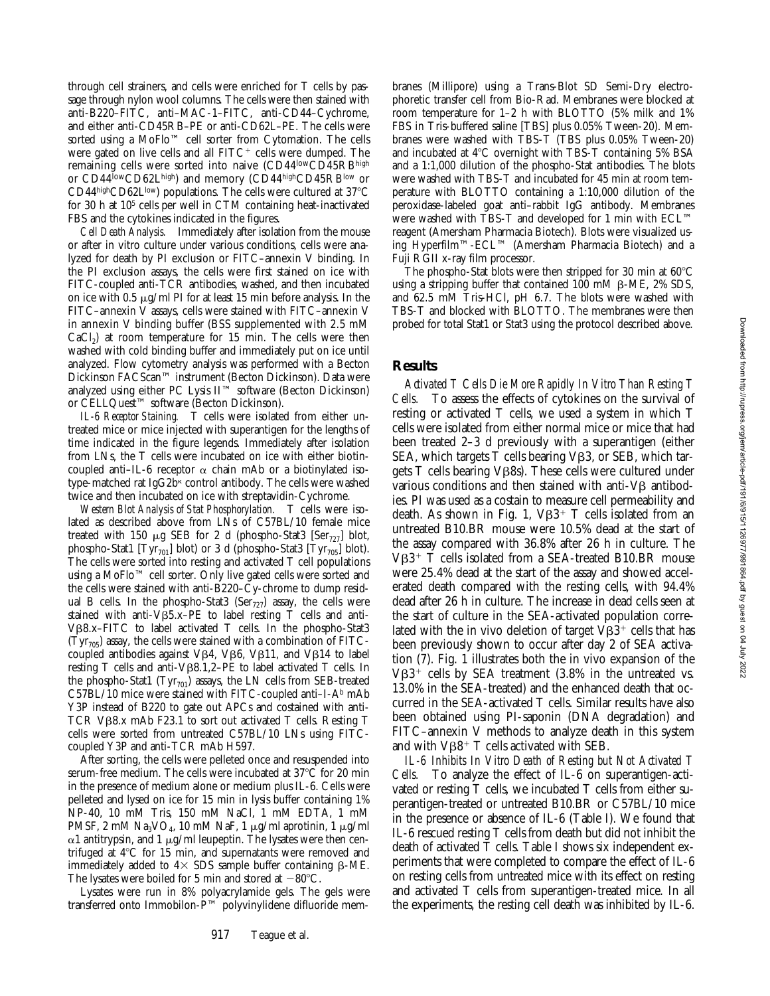through cell strainers, and cells were enriched for T cells by passage through nylon wool columns. The cells were then stained with anti-B220–FITC, anti–MAC-1–FITC, anti-CD44–Cychrome, and either anti-CD45RB–PE or anti-CD62L–PE. The cells were sorted using a MoFlo™ cell sorter from Cytomation. The cells were gated on live cells and all  $FITC<sup>+</sup>$  cells were dumped. The remaining cells were sorted into naive (CD44<sup>low</sup>CD45RBhigh or CD44lowCD62Lhigh) and memory (CD44highCD45RBlow or CD44highCD62Llow) populations. The cells were cultured at 37°C for 30 h at 105 cells per well in CTM containing heat-inactivated FBS and the cytokines indicated in the figures.

*Cell Death Analysis.* Immediately after isolation from the mouse or after in vitro culture under various conditions, cells were analyzed for death by PI exclusion or FITC–annexin V binding. In the PI exclusion assays, the cells were first stained on ice with FITC-coupled anti-TCR antibodies, washed, and then incubated on ice with 0.5  $\mu$ g/ml PI for at least 15 min before analysis. In the FITC–annexin V assays, cells were stained with FITC–annexin V in annexin V binding buffer (BSS supplemented with 2.5 mM  $CaCl<sub>2</sub>$ ) at room temperature for 15 min. The cells were then washed with cold binding buffer and immediately put on ice until analyzed. Flow cytometry analysis was performed with a Becton Dickinson FACScan™ instrument (Becton Dickinson). Data were analyzed using either PC Lysis II™ software (Becton Dickinson) or CELLQuest™ software (Becton Dickinson).

*IL-6 Receptor Staining.* T cells were isolated from either untreated mice or mice injected with superantigen for the lengths of time indicated in the figure legends. Immediately after isolation from LNs, the T cells were incubated on ice with either biotincoupled anti–IL-6 receptor  $\alpha$  chain mAb or a biotinylated isotype-matched rat IgG2b<sup>k</sup> control antibody. The cells were washed twice and then incubated on ice with streptavidin-Cychrome.

*Western Blot Analysis of Stat Phosphorylation.* T cells were isolated as described above from LNs of C57BL/10 female mice treated with 150  $\mu$ g SEB for 2 d (phospho-Stat3 [Ser<sub>727</sub>] blot, phospho-Stat1 [Tyr<sub>701</sub>] blot) or 3 d (phospho-Stat3 [Tyr<sub>705</sub>] blot). The cells were sorted into resting and activated T cell populations using a MoFlo™ cell sorter. Only live gated cells were sorted and the cells were stained with anti-B220–Cy-chrome to dump residual B cells. In the phospho-Stat3 (Ser $_{727}$ ) assay, the cells were stained with anti-V $\beta$ 5.x–PE to label resting T cells and anti-Vb8.x–FITC to label activated T cells. In the phospho-Stat3 (Tyr<sub>705</sub>) assay, the cells were stained with a combination of FITCcoupled antibodies against V $\beta$ 4, V $\beta$ 6, V $\beta$ 11, and V $\beta$ 14 to label resting T cells and anti-V $\beta$ 8.1,2–PE to label activated T cells. In the phospho-Stat1 ( $Tyr_{701}$ ) assays, the LN cells from SEB-treated  $C57BL/10$  mice were stained with FITC-coupled anti-I-A<sup>b</sup> mAb Y3P instead of B220 to gate out APCs and costained with anti-TCR V $\beta$ 8.x mAb F23.1 to sort out activated T cells. Resting T cells were sorted from untreated C57BL/10 LNs using FITCcoupled Y3P and anti-TCR mAb H597.

After sorting, the cells were pelleted once and resuspended into serum-free medium. The cells were incubated at 37°C for 20 min in the presence of medium alone or medium plus IL-6. Cells were pelleted and lysed on ice for 15 min in lysis buffer containing 1% NP-40, 10 mM Tris, 150 mM NaCl, 1 mM EDTA, 1 mM PMSF, 2 mM Na<sub>3</sub>VO<sub>4</sub>, 10 mM NaF, 1  $\mu$ g/ml aprotinin, 1  $\mu$ g/ml  $\alpha$ 1 antitrypsin, and 1  $\mu$ g/ml leupeptin. The lysates were then centrifuged at  $4^{\circ}$ C for 15 min, and supernatants were removed and immediately added to  $4\times$  SDS sample buffer containing  $\beta$ -ME. The lysates were boiled for 5 min and stored at  $-80^{\circ}$ C.

Lysates were run in 8% polyacrylamide gels. The gels were transferred onto Immobilon-P™ polyvinylidene difluoride mem-

branes (Millipore) using a Trans-Blot SD Semi-Dry electrophoretic transfer cell from Bio-Rad. Membranes were blocked at room temperature for 1–2 h with BLOTTO (5% milk and 1% FBS in Tris-buffered saline [TBS] plus 0.05% Tween-20). Membranes were washed with TBS-T (TBS plus 0.05% Tween-20) and incubated at  $4^{\circ}$ C overnight with TBS-T containing 5% BSA and a 1:1,000 dilution of the phospho-Stat antibodies. The blots were washed with TBS-T and incubated for 45 min at room temperature with BLOTTO containing a 1:10,000 dilution of the peroxidase-labeled goat anti–rabbit IgG antibody. Membranes were washed with TBS-T and developed for 1 min with ECL™ reagent (Amersham Pharmacia Biotech). Blots were visualized using Hyperfilm™-ECL™ (Amersham Pharmacia Biotech) and a Fuji RGII x-ray film processor.

The phospho-Stat blots were then stripped for 30 min at  $60^{\circ}$ C using a stripping buffer that contained 100 mM  $\beta$ -ME, 2% SDS, and 62.5 mM Tris-HCl, pH 6.7. The blots were washed with TBS-T and blocked with BLOTTO. The membranes were then probed for total Stat1 or Stat3 using the protocol described above.

## **Results**

*Activated T Cells Die More Rapidly In Vitro Than Resting T Cells.* To assess the effects of cytokines on the survival of resting or activated T cells, we used a system in which T cells were isolated from either normal mice or mice that had been treated 2–3 d previously with a superantigen (either SEA, which targets  $T$  cells bearing V $\beta$ 3, or SEB, which targets  $T$  cells bearing V $\beta$ 8s). These cells were cultured under various conditions and then stained with anti- $V\beta$  antibodies. PI was used as a costain to measure cell permeability and death. As shown in Fig. 1,  $V\beta3+T$  cells isolated from an untreated B10.BR mouse were 10.5% dead at the start of the assay compared with 36.8% after 26 h in culture. The  $V\beta3$ <sup>+</sup> T cells isolated from a SEA-treated B10.BR mouse were 25.4% dead at the start of the assay and showed accelerated death compared with the resting cells, with 94.4% dead after 26 h in culture. The increase in dead cells seen at the start of culture in the SEA-activated population correlated with the in vivo deletion of target  $V\beta3^+$  cells that has been previously shown to occur after day 2 of SEA activation (7). Fig. 1 illustrates both the in vivo expansion of the  $V\beta3^+$  cells by SEA treatment (3.8% in the untreated vs. 13.0% in the SEA-treated) and the enhanced death that occurred in the SEA-activated T cells. Similar results have also been obtained using PI-saponin (DNA degradation) and FITC–annexin V methods to analyze death in this system and with  $V\beta8$ <sup>+</sup> T cells activated with SEB.

*IL-6 Inhibits In Vitro Death of Resting but Not Activated T Cells.* To analyze the effect of IL-6 on superantigen-activated or resting T cells, we incubated T cells from either superantigen-treated or untreated B10.BR or C57BL/10 mice in the presence or absence of IL-6 (Table I). We found that IL-6 rescued resting T cells from death but did not inhibit the death of activated T cells. Table I shows six independent experiments that were completed to compare the effect of IL-6 on resting cells from untreated mice with its effect on resting and activated T cells from superantigen-treated mice. In all the experiments, the resting cell death was inhibited by IL-6.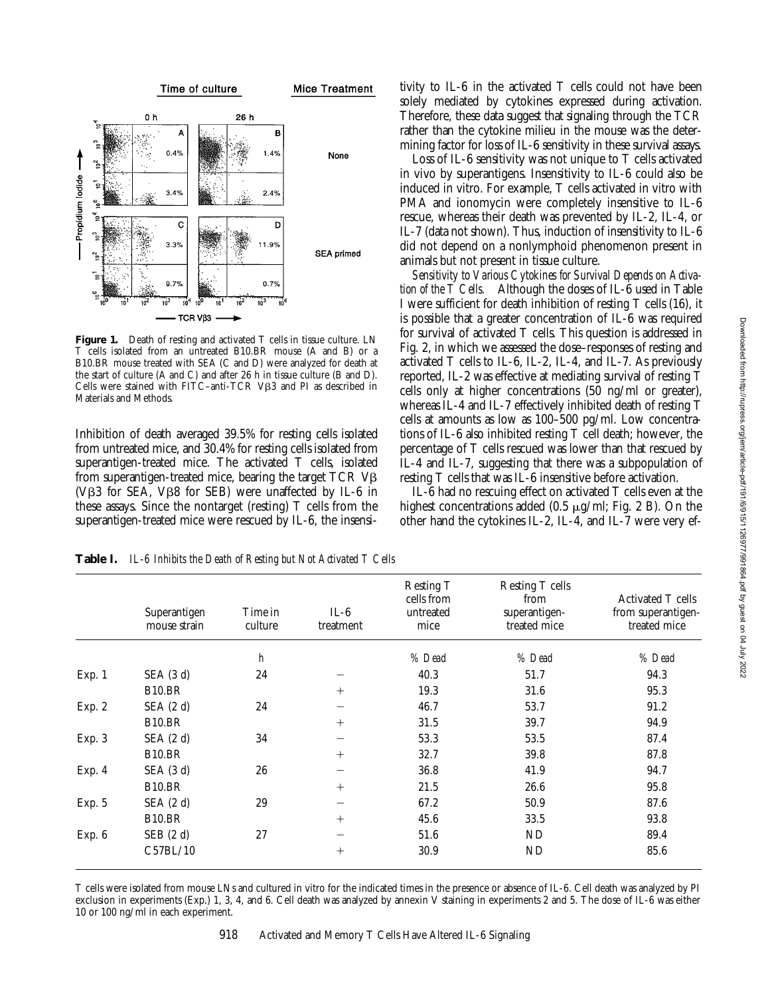

Figure 1. Death of resting and activated T cells in tissue culture. LN T cells isolated from an untreated B10.BR mouse (A and B) or a B10.BR mouse treated with SEA (C and D) were analyzed for death at the start of culture (A and C) and after 26 h in tissue culture (B and D). Cells were stained with FITC–anti-TCR  $V\beta3$  and PI as described in Materials and Methods.

Inhibition of death averaged 39.5% for resting cells isolated from untreated mice, and 30.4% for resting cells isolated from superantigen-treated mice. The activated T cells, isolated from superantigen-treated mice, bearing the target  $TCR V\beta$ ( $V\beta3$  for SEA,  $V\beta8$  for SEB) were unaffected by IL-6 in these assays. Since the nontarget (resting) T cells from the superantigen-treated mice were rescued by IL-6, the insensitivity to IL-6 in the activated T cells could not have been solely mediated by cytokines expressed during activation. Therefore, these data suggest that signaling through the TCR rather than the cytokine milieu in the mouse was the determining factor for loss of IL-6 sensitivity in these survival assays.

Loss of IL-6 sensitivity was not unique to T cells activated in vivo by superantigens. Insensitivity to IL-6 could also be induced in vitro. For example, T cells activated in vitro with PMA and ionomycin were completely insensitive to IL-6 rescue, whereas their death was prevented by IL-2, IL-4, or IL-7 (data not shown). Thus, induction of insensitivity to IL-6 did not depend on a nonlymphoid phenomenon present in animals but not present in tissue culture.

*Sensitivity to Various Cytokines for Survival Depends on Activation of the T Cells.* Although the doses of IL-6 used in Table I were sufficient for death inhibition of resting T cells (16), it is possible that a greater concentration of IL-6 was required for survival of activated T cells. This question is addressed in Fig. 2, in which we assessed the dose–responses of resting and activated T cells to IL-6, IL-2, IL-4, and IL-7. As previously reported, IL-2 was effective at mediating survival of resting T cells only at higher concentrations (50 ng/ml or greater), whereas IL-4 and IL-7 effectively inhibited death of resting T cells at amounts as low as 100–500 pg/ml. Low concentrations of IL-6 also inhibited resting T cell death; however, the percentage of T cells rescued was lower than that rescued by IL-4 and IL-7, suggesting that there was a subpopulation of resting T cells that was IL-6 insensitive before activation.

IL-6 had no rescuing effect on activated T cells even at the highest concentrations added  $(0.5 \mu g/ml$ ; Fig. 2 B). On the other hand the cytokines IL-2, IL-4, and IL-7 were very ef-

**Table I.** *IL-6 Inhibits the Death of Resting but Not Activated T Cells*

|          | Superantigen<br>mouse strain | Time in<br>culture | $IL-6$<br>treatment | <b>Resting T</b><br>cells from<br>untreated<br>mice | Resting T cells<br>from<br>superantigen-<br>treated mice | Activated T cells<br>from superantigen-<br>treated mice |
|----------|------------------------------|--------------------|---------------------|-----------------------------------------------------|----------------------------------------------------------|---------------------------------------------------------|
|          |                              | $\boldsymbol{h}$   |                     | % Dead                                              | % Dead                                                   | % Dead                                                  |
| Exp. 1   | SEA(3 d)                     | 24                 |                     | 40.3                                                | 51.7                                                     | 94.3                                                    |
|          | <b>B10.BR</b>                |                    | $+$                 | 19.3                                                | 31.6                                                     | 95.3                                                    |
| Exp. $2$ | SEA(2 d)                     | 24                 |                     | 46.7                                                | 53.7                                                     | 91.2                                                    |
|          | <b>B10.BR</b>                |                    | $+$                 | 31.5                                                | 39.7                                                     | 94.9                                                    |
| Exp. 3   | SEA(2 d)                     | 34                 |                     | 53.3                                                | 53.5                                                     | 87.4                                                    |
|          | <b>B10.BR</b>                |                    | $+$                 | 32.7                                                | 39.8                                                     | 87.8                                                    |
| Exp. 4   | SEA(3 d)                     | 26                 |                     | 36.8                                                | 41.9                                                     | 94.7                                                    |
|          | <b>B10.BR</b>                |                    | $+$                 | 21.5                                                | 26.6                                                     | 95.8                                                    |
| Exp. 5   | SEA(2 d)                     | 29                 |                     | 67.2                                                | 50.9                                                     | 87.6                                                    |
|          | <b>B10.BR</b>                |                    | $+$                 | 45.6                                                | 33.5                                                     | 93.8                                                    |
| Exp. 6   | SEB(2 d)                     | 27                 |                     | 51.6                                                | ND                                                       | 89.4                                                    |
|          | C57BL/10                     |                    | $^{+}$              | 30.9                                                | ND                                                       | 85.6                                                    |

T cells were isolated from mouse LNs and cultured in vitro for the indicated times in the presence or absence of IL-6. Cell death was analyzed by PI exclusion in experiments (Exp.) 1, 3, 4, and 6. Cell death was analyzed by annexin V staining in experiments 2 and 5. The dose of IL-6 was either 10 or 100 ng/ml in each experiment.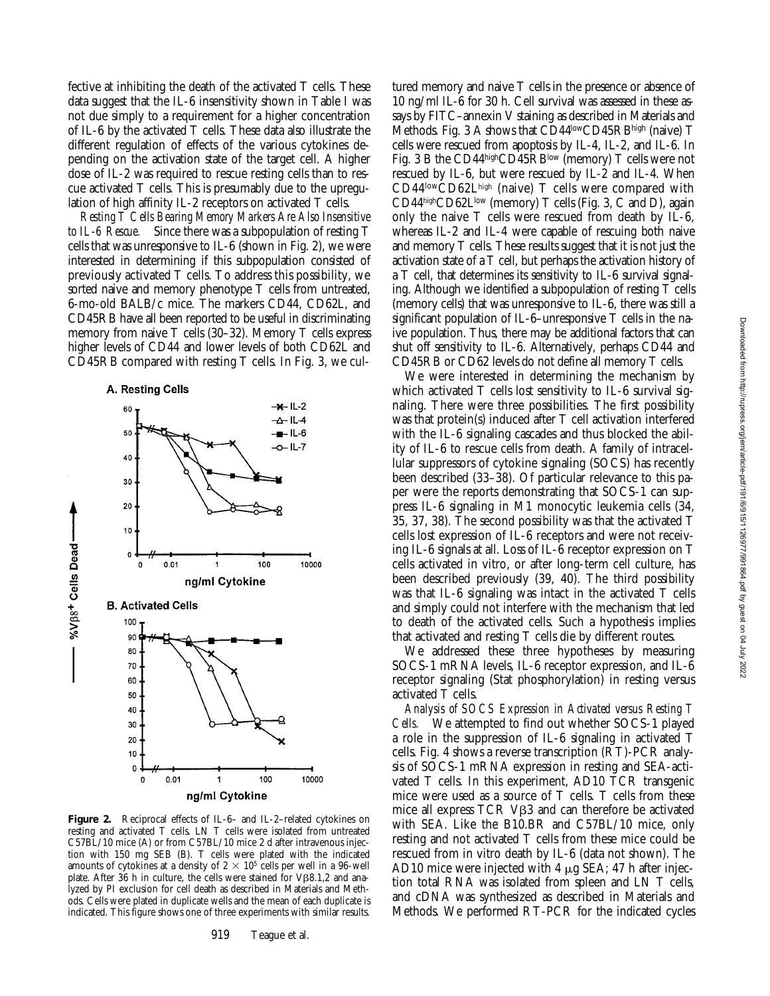fective at inhibiting the death of the activated T cells. These data suggest that the IL-6 insensitivity shown in Table I was not due simply to a requirement for a higher concentration of IL-6 by the activated T cells. These data also illustrate the different regulation of effects of the various cytokines depending on the activation state of the target cell. A higher dose of IL-2 was required to rescue resting cells than to rescue activated T cells. This is presumably due to the upregulation of high affinity IL-2 receptors on activated T cells.

*Resting T Cells Bearing Memory Markers Are Also Insensitive to IL-6 Rescue.* Since there was a subpopulation of resting T cells that was unresponsive to IL-6 (shown in Fig. 2), we were interested in determining if this subpopulation consisted of previously activated T cells. To address this possibility, we sorted naive and memory phenotype T cells from untreated, 6-mo-old BALB/c mice. The markers CD44, CD62L, and CD45RB have all been reported to be useful in discriminating memory from naive T cells (30–32). Memory T cells express higher levels of CD44 and lower levels of both CD62L and CD45RB compared with resting T cells. In Fig. 3, we cul-



**Figure 2.** Reciprocal effects of IL-6– and IL-2–related cytokines on resting and activated T cells. LN T cells were isolated from untreated C57BL/10 mice (A) or from C57BL/10 mice 2 d after intravenous injection with 150 mg SEB (B). T cells were plated with the indicated amounts of cytokines at a density of  $2 \times 10^5$  cells per well in a 96-well plate. After 36 h in culture, the cells were stained for  $V\beta8.1,2$  and analyzed by PI exclusion for cell death as described in Materials and Methods. Cells were plated in duplicate wells and the mean of each duplicate is indicated. This figure shows one of three experiments with similar results.

tured memory and naive T cells in the presence or absence of 10 ng/ml IL-6 for 30 h. Cell survival was assessed in these assays by FITC–annexin V staining as described in Materials and Methods. Fig. 3 A shows that CD44<sup>low</sup>CD45RBhigh (naive) T cells were rescued from apoptosis by IL-4, IL-2, and IL-6. In Fig. 3 B the CD44highCD45RBlow (memory) T cells were not rescued by IL-6, but were rescued by IL-2 and IL-4. When CD44lowCD62Lhigh (naive) T cells were compared with  $CD44$ high $CD62L^{\text{low}}$  (memory) T cells (Fig. 3, C and D), again only the naive T cells were rescued from death by IL-6, whereas IL-2 and IL-4 were capable of rescuing both naive and memory T cells. These results suggest that it is not just the activation state of a T cell, but perhaps the activation history of a T cell, that determines its sensitivity to IL-6 survival signaling. Although we identified a subpopulation of resting T cells (memory cells) that was unresponsive to IL-6, there was still a significant population of IL-6–unresponsive T cells in the naive population. Thus, there may be additional factors that can shut off sensitivity to IL-6. Alternatively, perhaps CD44 and CD45RB or CD62 levels do not define all memory T cells.

We were interested in determining the mechanism by which activated T cells lost sensitivity to IL-6 survival signaling. There were three possibilities. The first possibility was that protein(s) induced after T cell activation interfered with the IL-6 signaling cascades and thus blocked the ability of IL-6 to rescue cells from death. A family of intracellular suppressors of cytokine signaling (SOCS) has recently been described (33–38). Of particular relevance to this paper were the reports demonstrating that SOCS-1 can suppress IL-6 signaling in M1 monocytic leukemia cells (34, 35, 37, 38). The second possibility was that the activated T cells lost expression of IL-6 receptors and were not receiving IL-6 signals at all. Loss of IL-6 receptor expression on T cells activated in vitro, or after long-term cell culture, has been described previously (39, 40). The third possibility was that IL-6 signaling was intact in the activated T cells and simply could not interfere with the mechanism that led to death of the activated cells. Such a hypothesis implies that activated and resting T cells die by different routes.

We addressed these three hypotheses by measuring SOCS-1 mRNA levels, IL-6 receptor expression, and IL-6 receptor signaling (Stat phosphorylation) in resting versus activated T cells.

*Analysis of SOCS Expression in Activated versus Resting T Cells.* We attempted to find out whether SOCS-1 played a role in the suppression of IL-6 signaling in activated T cells. Fig. 4 shows a reverse transcription (RT)-PCR analysis of SOCS-1 mRNA expression in resting and SEA-activated T cells. In this experiment, AD10 TCR transgenic mice were used as a source of T cells. T cells from these mice all express  $TCR V\beta3$  and can therefore be activated with SEA. Like the B10.BR and C57BL/10 mice, only resting and not activated T cells from these mice could be rescued from in vitro death by IL-6 (data not shown). The AD10 mice were injected with 4  $\mu$ g SEA; 47 h after injection total RNA was isolated from spleen and LN T cells, and cDNA was synthesized as described in Materials and Methods. We performed RT-PCR for the indicated cycles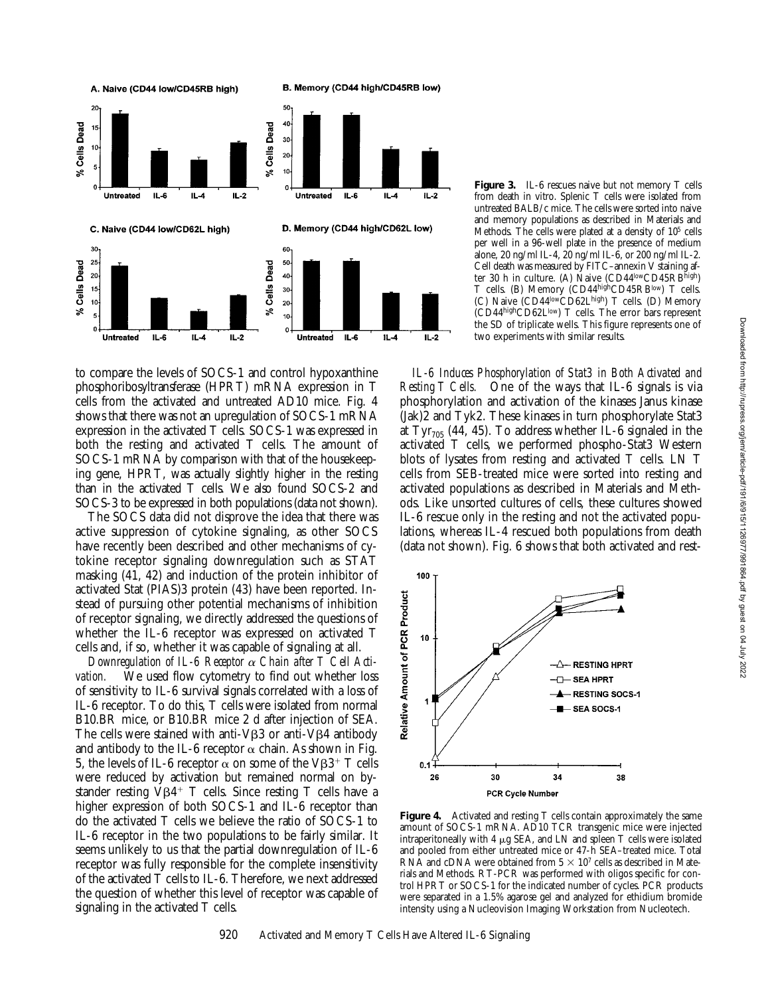

to compare the levels of SOCS-1 and control hypoxanthine phosphoribosyltransferase (HPRT) mRNA expression in T cells from the activated and untreated AD10 mice. Fig. 4 shows that there was not an upregulation of SOCS-1 mRNA expression in the activated T cells. SOCS-1 was expressed in both the resting and activated T cells. The amount of SOCS-1 mRNA by comparison with that of the housekeeping gene, HPRT, was actually slightly higher in the resting than in the activated T cells. We also found SOCS-2 and SOCS-3 to be expressed in both populations (data not shown).

The SOCS data did not disprove the idea that there was active suppression of cytokine signaling, as other SOCS have recently been described and other mechanisms of cytokine receptor signaling downregulation such as STAT masking (41, 42) and induction of the protein inhibitor of activated Stat (PIAS)3 protein (43) have been reported. Instead of pursuing other potential mechanisms of inhibition of receptor signaling, we directly addressed the questions of whether the IL-6 receptor was expressed on activated T cells and, if so, whether it was capable of signaling at all.

*Downregulation of IL-6 Receptor* a *Chain after T Cell Activation.* We used flow cytometry to find out whether loss of sensitivity to IL-6 survival signals correlated with a loss of IL-6 receptor. To do this, T cells were isolated from normal B10.BR mice, or B10.BR mice 2 d after injection of SEA. The cells were stained with anti-V $\beta$ 3 or anti-V $\beta$ 4 antibody and antibody to the IL-6 receptor  $\alpha$  chain. As shown in Fig. 5, the levels of IL-6 receptor  $\alpha$  on some of the VB3<sup>+</sup> T cells were reduced by activation but remained normal on bystander resting  $V\beta4$ <sup>+</sup> T cells. Since resting T cells have a higher expression of both SOCS-1 and IL-6 receptor than do the activated T cells we believe the ratio of SOCS-1 to IL-6 receptor in the two populations to be fairly similar. It seems unlikely to us that the partial downregulation of IL-6 receptor was fully responsible for the complete insensitivity of the activated T cells to IL-6. Therefore, we next addressed the question of whether this level of receptor was capable of signaling in the activated T cells.

Figure 3. IL-6 rescues naive but not memory T cells from death in vitro. Splenic T cells were isolated from untreated BALB/c mice. The cells were sorted into naive and memory populations as described in Materials and Methods. The cells were plated at a density of 10<sup>5</sup> cells per well in a 96-well plate in the presence of medium alone, 20 ng/ml IL-4, 20 ng/ml IL-6, or 200 ng/ml IL-2. Cell death was measured by FITC–annexin V staining after 30 h in culture. (A) Naive  $(CD44^{\text{low}}CD45RB^{\text{high}})$ T cells. (B) Memory (CD44highCD45RBlow) T cells. (C) Naive (CD44lowCD62Lhigh) T cells. (D) Memory (CD44highCD62Llow) T cells. The error bars represent the SD of triplicate wells. This figure represents one of two experiments with similar results.

*IL-6 Induces Phosphorylation of Stat3 in Both Activated and Resting T Cells.* One of the ways that IL-6 signals is via phosphorylation and activation of the kinases Janus kinase (Jak)2 and Tyk2. These kinases in turn phosphorylate Stat3 at Tyr<sub>705</sub> (44, 45). To address whether IL-6 signaled in the activated T cells, we performed phospho-Stat3 Western blots of lysates from resting and activated T cells. LN T cells from SEB-treated mice were sorted into resting and activated populations as described in Materials and Methods. Like unsorted cultures of cells, these cultures showed IL-6 rescue only in the resting and not the activated populations, whereas IL-4 rescued both populations from death (data not shown). Fig. 6 shows that both activated and rest-



**Figure 4.** Activated and resting T cells contain approximately the same amount of SOCS-1 mRNA. AD10 TCR transgenic mice were injected intraperitoneally with 4  $\mu$ g SEA, and LN and spleen T cells were isolated and pooled from either untreated mice or 47-h SEA–treated mice. Total RNA and cDNA were obtained from  $5 \times 10^7$  cells as described in Materials and Methods. RT-PCR was performed with oligos specific for control HPRT or SOCS-1 for the indicated number of cycles. PCR products were separated in a 1.5% agarose gel and analyzed for ethidium bromide intensity using a Nucleovision Imaging Workstation from Nucleotech.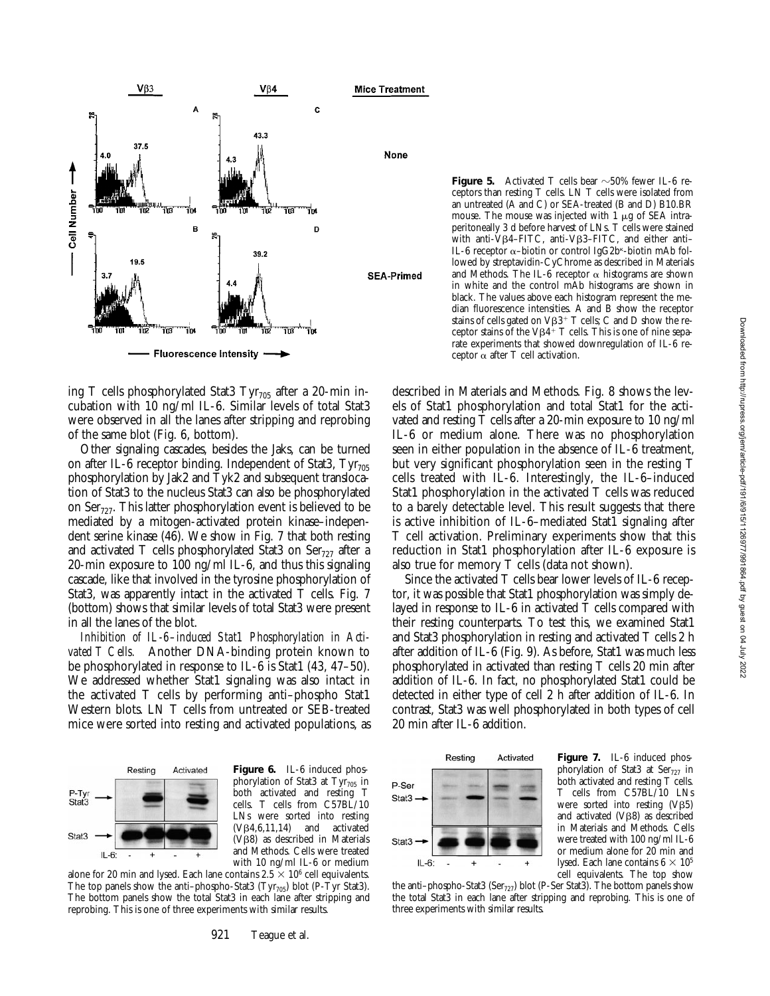

ing T cells phosphorylated Stat3  $Tyr_{705}$  after a 20-min incubation with 10 ng/ml IL-6. Similar levels of total Stat3 were observed in all the lanes after stripping and reprobing of the same blot (Fig. 6, bottom).

Other signaling cascades, besides the Jaks, can be turned on after IL-6 receptor binding. Independent of Stat3,  $Tyr_{705}$ phosphorylation by Jak2 and Tyk2 and subsequent translocation of Stat3 to the nucleus Stat3 can also be phosphorylated on  $\text{Ser}_{727}$ . This latter phosphorylation event is believed to be mediated by a mitogen-activated protein kinase–independent serine kinase (46). We show in Fig. 7 that both resting and activated T cells phosphorylated Stat3 on  $\text{Ser}_{727}$  after a 20-min exposure to 100 ng/ml IL-6, and thus this signaling cascade, like that involved in the tyrosine phosphorylation of Stat3, was apparently intact in the activated T cells. Fig. 7 (bottom) shows that similar levels of total Stat3 were present in all the lanes of the blot.

*Inhibition of IL-6–induced Stat1 Phosphorylation in Activated T Cells.* Another DNA-binding protein known to be phosphorylated in response to IL-6 is Stat1 (43, 47–50). We addressed whether Stat1 signaling was also intact in the activated T cells by performing anti–phospho Stat1 Western blots. LN T cells from untreated or SEB-treated mice were sorted into resting and activated populations, as



**Figure 6.** IL-6 induced phosphorylation of Stat3 at Tyr<sub>705</sub> in both activated and resting T cells. T cells from C57BL/10 LNs were sorted into resting  $(V\beta4,6,11,14)$  and activated  $(V\beta8)$  as described in Materials and Methods. Cells were treated with 10 ng/ml IL-6 or medium

alone for 20 min and lysed. Each lane contains  $2.5 \times 10^6$  cell equivalents. The top panels show the anti-phospho-Stat3 (Tyr<sub>705</sub>) blot (P-Tyr Stat3). The bottom panels show the total Stat3 in each lane after stripping and reprobing. This is one of three experiments with similar results.

**Figure 5.** Activated T cells bear  $\sim$  50% fewer IL-6 receptors than resting T cells. LN T cells were isolated from an untreated (A and C) or SEA-treated (B and D) B10.BR mouse. The mouse was injected with  $1 \mu$ g of SEA intraperitoneally 3 d before harvest of LNs. T cells were stained with anti- $V\beta$ 4-FITC, anti-V $\beta$ 3-FITC, and either anti-IL-6 receptor  $\alpha$ -biotin or control IgG2b<sup> $\kappa$ </sup>-biotin mAb followed by streptavidin-CyChrome as described in Materials and Methods. The IL-6 receptor  $\alpha$  histograms are shown in white and the control mAb histograms are shown in black. The values above each histogram represent the median fluorescence intensities. A and B show the receptor stains of cells gated on  $V\beta3+T$  cells; C and D show the receptor stains of the  $V\beta4+T$  cells. This is one of nine separate experiments that showed downregulation of IL-6 receptor  $\alpha$  after T cell activation.

described in Materials and Methods. Fig. 8 shows the levels of Stat1 phosphorylation and total Stat1 for the activated and resting T cells after a 20-min exposure to 10 ng/ml IL-6 or medium alone. There was no phosphorylation seen in either population in the absence of IL-6 treatment, but very significant phosphorylation seen in the resting T cells treated with IL-6. Interestingly, the IL-6–induced Stat1 phosphorylation in the activated T cells was reduced to a barely detectable level. This result suggests that there is active inhibition of IL-6–mediated Stat1 signaling after T cell activation. Preliminary experiments show that this reduction in Stat1 phosphorylation after IL-6 exposure is also true for memory T cells (data not shown).

Since the activated T cells bear lower levels of IL-6 receptor, it was possible that Stat1 phosphorylation was simply delayed in response to IL-6 in activated T cells compared with their resting counterparts. To test this, we examined Stat1 and Stat3 phosphorylation in resting and activated T cells 2 h after addition of IL-6 (Fig. 9). As before, Stat1 was much less phosphorylated in activated than resting T cells 20 min after addition of IL-6. In fact, no phosphorylated Stat1 could be detected in either type of cell 2 h after addition of IL-6. In contrast, Stat3 was well phosphorylated in both types of cell 20 min after IL-6 addition.



**Figure 7.** IL-6 induced phosphorylation of Stat3 at Ser $_{727}$  in both activated and resting T cells. T cells from C57BL/10 LNs were sorted into resting  $(V\beta5)$ and activated  $(V\beta8)$  as described in Materials and Methods. Cells were treated with 100 ng/ml IL-6 or medium alone for 20 min and lysed. Each lane contains  $6 \times 10^5$ cell equivalents. The top show

the anti-phospho-Stat3 (Ser<sub>727</sub>) blot (P-Ser Stat3). The bottom panels show the total Stat3 in each lane after stripping and reprobing. This is one of three experiments with similar results.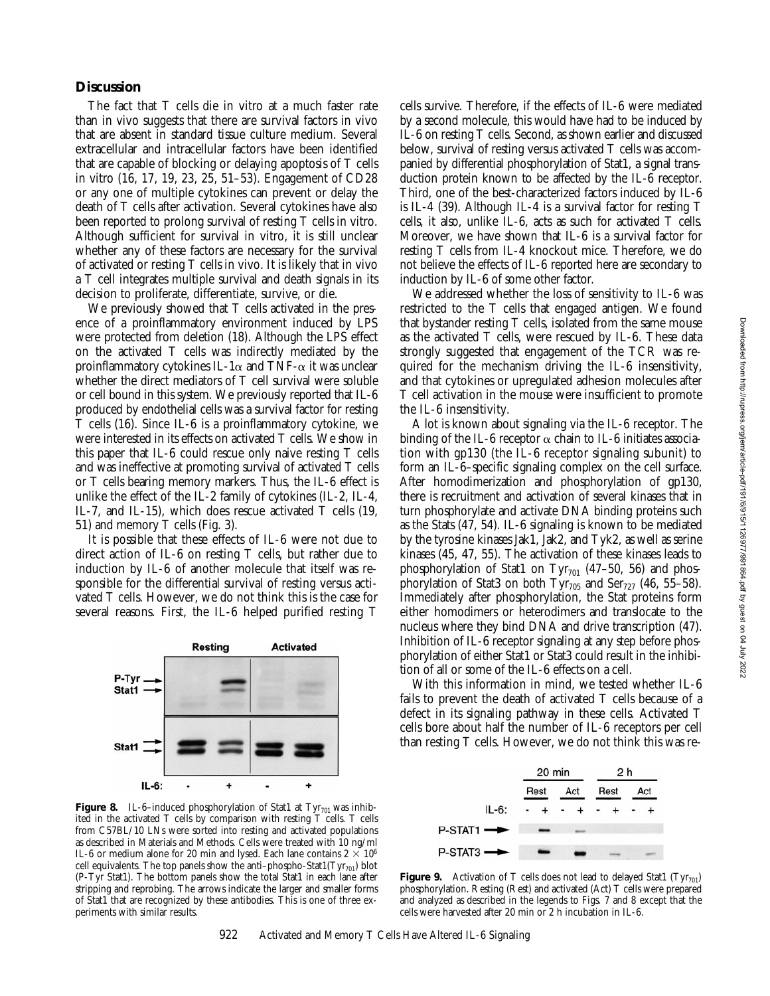#### **Discussion**

The fact that T cells die in vitro at a much faster rate than in vivo suggests that there are survival factors in vivo that are absent in standard tissue culture medium. Several extracellular and intracellular factors have been identified that are capable of blocking or delaying apoptosis of T cells in vitro (16, 17, 19, 23, 25, 51–53). Engagement of CD28 or any one of multiple cytokines can prevent or delay the death of T cells after activation. Several cytokines have also been reported to prolong survival of resting T cells in vitro. Although sufficient for survival in vitro, it is still unclear whether any of these factors are necessary for the survival of activated or resting T cells in vivo. It is likely that in vivo a T cell integrates multiple survival and death signals in its decision to proliferate, differentiate, survive, or die.

We previously showed that T cells activated in the presence of a proinflammatory environment induced by LPS were protected from deletion (18). Although the LPS effect on the activated T cells was indirectly mediated by the proinflammatory cytokines IL-1 $\alpha$  and TNF- $\alpha$  it was unclear whether the direct mediators of T cell survival were soluble or cell bound in this system. We previously reported that IL-6 produced by endothelial cells was a survival factor for resting T cells (16). Since IL-6 is a proinflammatory cytokine, we were interested in its effects on activated T cells. We show in this paper that IL-6 could rescue only naive resting T cells and was ineffective at promoting survival of activated T cells or T cells bearing memory markers. Thus, the IL-6 effect is unlike the effect of the IL-2 family of cytokines (IL-2, IL-4, IL-7, and IL-15), which does rescue activated T cells (19, 51) and memory T cells (Fig. 3).

It is possible that these effects of IL-6 were not due to direct action of IL-6 on resting T cells, but rather due to induction by IL-6 of another molecule that itself was responsible for the differential survival of resting versus activated T cells. However, we do not think this is the case for several reasons. First, the IL-6 helped purified resting T



cells survive. Therefore, if the effects of IL-6 were mediated by a second molecule, this would have had to be induced by IL-6 on resting T cells. Second, as shown earlier and discussed below, survival of resting versus activated T cells was accompanied by differential phosphorylation of Stat1, a signal transduction protein known to be affected by the IL-6 receptor. Third, one of the best-characterized factors induced by IL-6 is IL-4 (39). Although IL-4 is a survival factor for resting T cells, it also, unlike IL-6, acts as such for activated T cells. Moreover, we have shown that IL-6 is a survival factor for resting T cells from IL-4 knockout mice. Therefore, we do not believe the effects of IL-6 reported here are secondary to induction by IL-6 of some other factor.

We addressed whether the loss of sensitivity to IL-6 was restricted to the T cells that engaged antigen. We found that bystander resting T cells, isolated from the same mouse as the activated T cells, were rescued by IL-6. These data strongly suggested that engagement of the TCR was required for the mechanism driving the IL-6 insensitivity, and that cytokines or upregulated adhesion molecules after T cell activation in the mouse were insufficient to promote the IL-6 insensitivity.

A lot is known about signaling via the IL-6 receptor. The binding of the IL-6 receptor  $\alpha$  chain to IL-6 initiates association with gp130 (the IL-6 receptor signaling subunit) to form an IL-6–specific signaling complex on the cell surface. After homodimerization and phosphorylation of gp130, there is recruitment and activation of several kinases that in turn phosphorylate and activate DNA binding proteins such as the Stats (47, 54). IL-6 signaling is known to be mediated by the tyrosine kinases Jak1, Jak2, and Tyk2, as well as serine kinases (45, 47, 55). The activation of these kinases leads to phosphorylation of Stat1 on Tyr<sub>701</sub> (47–50, 56) and phosphorylation of Stat3 on both  $\text{Ty}_{705}$  and  $\text{Ser}_{727}$  (46, 55–58). Immediately after phosphorylation, the Stat proteins form either homodimers or heterodimers and translocate to the nucleus where they bind DNA and drive transcription (47). Inhibition of IL-6 receptor signaling at any step before phosphorylation of either Stat1 or Stat3 could result in the inhibition of all or some of the IL-6 effects on a cell.

With this information in mind, we tested whether IL-6 fails to prevent the death of activated T cells because of a defect in its signaling pathway in these cells. Activated T cells bore about half the number of IL-6 receptors per cell than resting T cells. However, we do not think this was re-

Figure 8. IL-6-induced phosphorylation of Stat1 at Tyr<sub>701</sub> was inhibited in the activated T cells by comparison with resting T cells. T cells from C57BL/10 LNs were sorted into resting and activated populations as described in Materials and Methods. Cells were treated with 10 ng/ml IL-6 or medium alone for 20 min and lysed. Each lane contains  $2 \times 10^6$ cell equivalents. The top panels show the anti-phospho-Stat1( $Tyr_{701}$ ) blot (P-Tyr Stat1). The bottom panels show the total Stat1 in each lane after stripping and reprobing. The arrows indicate the larger and smaller forms of Stat1 that are recognized by these antibodies. This is one of three experiments with similar results.



**Figure 9.** Activation of T cells does not lead to delayed Stat1  $(Tyr_{701})$ phosphorylation. Resting (Rest) and activated (Act) T cells were prepared and analyzed as described in the legends to Figs. 7 and 8 except that the cells were harvested after 20 min or 2 h incubation in IL-6.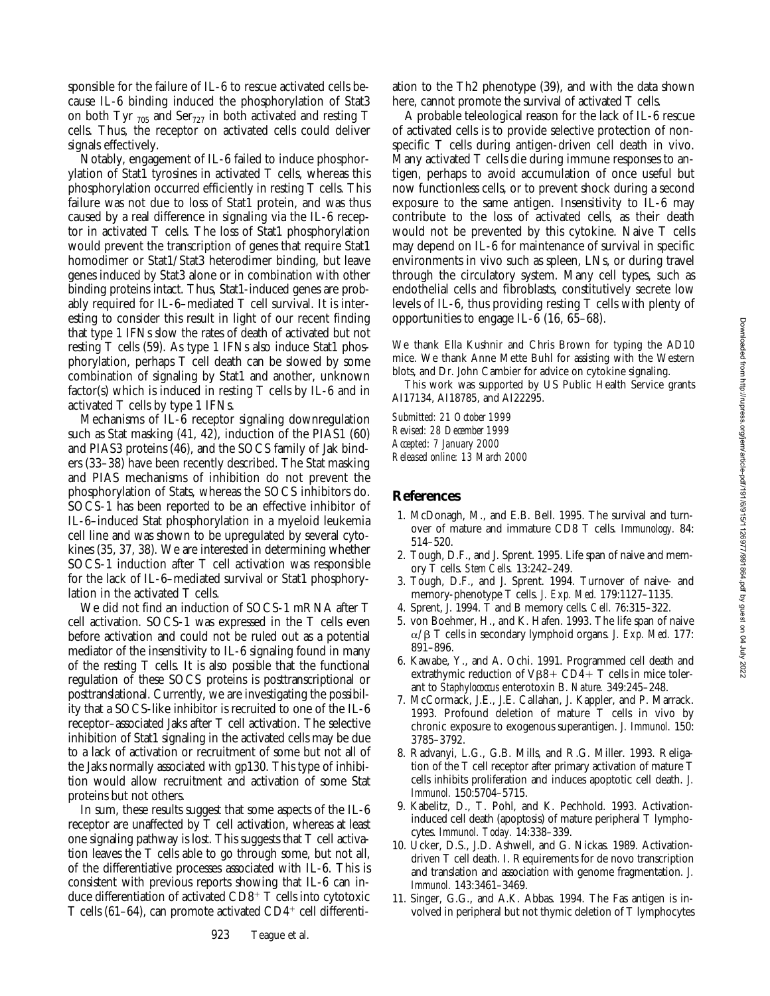sponsible for the failure of IL-6 to rescue activated cells because IL-6 binding induced the phosphorylation of Stat3 on both Tyr  $_{705}$  and Ser<sub>727</sub> in both activated and resting T cells. Thus, the receptor on activated cells could deliver signals effectively.

Notably, engagement of IL-6 failed to induce phosphorylation of Stat1 tyrosines in activated T cells, whereas this phosphorylation occurred efficiently in resting T cells. This failure was not due to loss of Stat1 protein, and was thus caused by a real difference in signaling via the IL-6 receptor in activated T cells. The loss of Stat1 phosphorylation would prevent the transcription of genes that require Stat1 homodimer or Stat1/Stat3 heterodimer binding, but leave genes induced by Stat3 alone or in combination with other binding proteins intact. Thus, Stat1-induced genes are probably required for IL-6–mediated T cell survival. It is interesting to consider this result in light of our recent finding that type 1 IFNs slow the rates of death of activated but not resting T cells (59). As type 1 IFNs also induce Stat1 phosphorylation, perhaps T cell death can be slowed by some combination of signaling by Stat1 and another, unknown factor(s) which is induced in resting T cells by IL-6 and in activated T cells by type 1 IFNs.

Mechanisms of IL-6 receptor signaling downregulation such as Stat masking (41, 42), induction of the PIAS1 (60) and PIAS3 proteins (46), and the SOCS family of Jak binders (33–38) have been recently described. The Stat masking and PIAS mechanisms of inhibition do not prevent the phosphorylation of Stats, whereas the SOCS inhibitors do. SOCS-1 has been reported to be an effective inhibitor of IL-6–induced Stat phosphorylation in a myeloid leukemia cell line and was shown to be upregulated by several cytokines (35, 37, 38). We are interested in determining whether SOCS-1 induction after T cell activation was responsible for the lack of IL-6–mediated survival or Stat1 phosphorylation in the activated T cells.

We did not find an induction of SOCS-1 mRNA after T cell activation. SOCS-1 was expressed in the T cells even before activation and could not be ruled out as a potential mediator of the insensitivity to IL-6 signaling found in many of the resting T cells. It is also possible that the functional regulation of these SOCS proteins is posttranscriptional or posttranslational. Currently, we are investigating the possibility that a SOCS-like inhibitor is recruited to one of the IL-6 receptor–associated Jaks after T cell activation. The selective inhibition of Stat1 signaling in the activated cells may be due to a lack of activation or recruitment of some but not all of the Jaks normally associated with gp130. This type of inhibition would allow recruitment and activation of some Stat proteins but not others.

In sum, these results suggest that some aspects of the IL-6 receptor are unaffected by T cell activation, whereas at least one signaling pathway is lost. This suggests that T cell activation leaves the T cells able to go through some, but not all, of the differentiative processes associated with IL-6. This is consistent with previous reports showing that IL-6 can induce differentiation of activated  $CD8^+$  T cells into cytotoxic T cells  $(61-64)$ , can promote activated CD4<sup>+</sup> cell differentiation to the Th2 phenotype (39), and with the data shown here, cannot promote the survival of activated T cells.

A probable teleological reason for the lack of IL-6 rescue of activated cells is to provide selective protection of nonspecific T cells during antigen-driven cell death in vivo. Many activated T cells die during immune responses to antigen, perhaps to avoid accumulation of once useful but now functionless cells, or to prevent shock during a second exposure to the same antigen. Insensitivity to IL-6 may contribute to the loss of activated cells, as their death would not be prevented by this cytokine. Naive T cells may depend on IL-6 for maintenance of survival in specific environments in vivo such as spleen, LNs, or during travel through the circulatory system. Many cell types, such as endothelial cells and fibroblasts, constitutively secrete low levels of IL-6, thus providing resting T cells with plenty of opportunities to engage IL-6 (16, 65–68).

We thank Ella Kushnir and Chris Brown for typing the AD10 mice. We thank Anne Mette Buhl for assisting with the Western blots, and Dr. John Cambier for advice on cytokine signaling.

This work was supported by US Public Health Service grants AI17134, AI18785, and AI22295.

*Submitted: 21 October 1999 Revised: 28 December 1999 Accepted: 7 January 2000 Released online: 13 March 2000*

#### **References**

- 1. McDonagh, M., and E.B. Bell. 1995. The survival and turnover of mature and immature CD8 T cells. *Immunology.* 84: 514–520.
- 2. Tough, D.F., and J. Sprent. 1995. Life span of naive and memory T cells. *Stem Cells.* 13:242–249.
- 3. Tough, D.F., and J. Sprent. 1994. Turnover of naive- and memory-phenotype T cells. *J. Exp. Med.* 179:1127–1135.
- 4. Sprent, J. 1994. T and B memory cells. *Cell.* 76:315–322.
- 5. von Boehmer, H., and K. Hafen. 1993. The life span of naive a/b T cells in secondary lymphoid organs. *J. Exp. Med.* 177: 891–896.
- 6. Kawabe, Y., and A. Ochi. 1991. Programmed cell death and extrathymic reduction of  $V\beta8+CD4+T$  cells in mice tolerant to *Staphylococcus* enterotoxin B. *Nature.* 349:245–248.
- 7. McCormack, J.E., J.E. Callahan, J. Kappler, and P. Marrack. 1993. Profound deletion of mature T cells in vivo by chronic exposure to exogenous superantigen. *J. Immunol.* 150: 3785–3792.
- 8. Radvanyi, L.G., G.B. Mills, and R.G. Miller. 1993. Religation of the T cell receptor after primary activation of mature T cells inhibits proliferation and induces apoptotic cell death. *J. Immunol.* 150:5704–5715.
- 9. Kabelitz, D., T. Pohl, and K. Pechhold. 1993. Activationinduced cell death (apoptosis) of mature peripheral T lymphocytes. *Immunol. Today.* 14:338–339.
- 10. Ucker, D.S., J.D. Ashwell, and G. Nickas. 1989. Activationdriven T cell death. I. Requirements for de novo transcription and translation and association with genome fragmentation. *J. Immunol.* 143:3461–3469.
- 11. Singer, G.G., and A.K. Abbas. 1994. The Fas antigen is involved in peripheral but not thymic deletion of T lymphocytes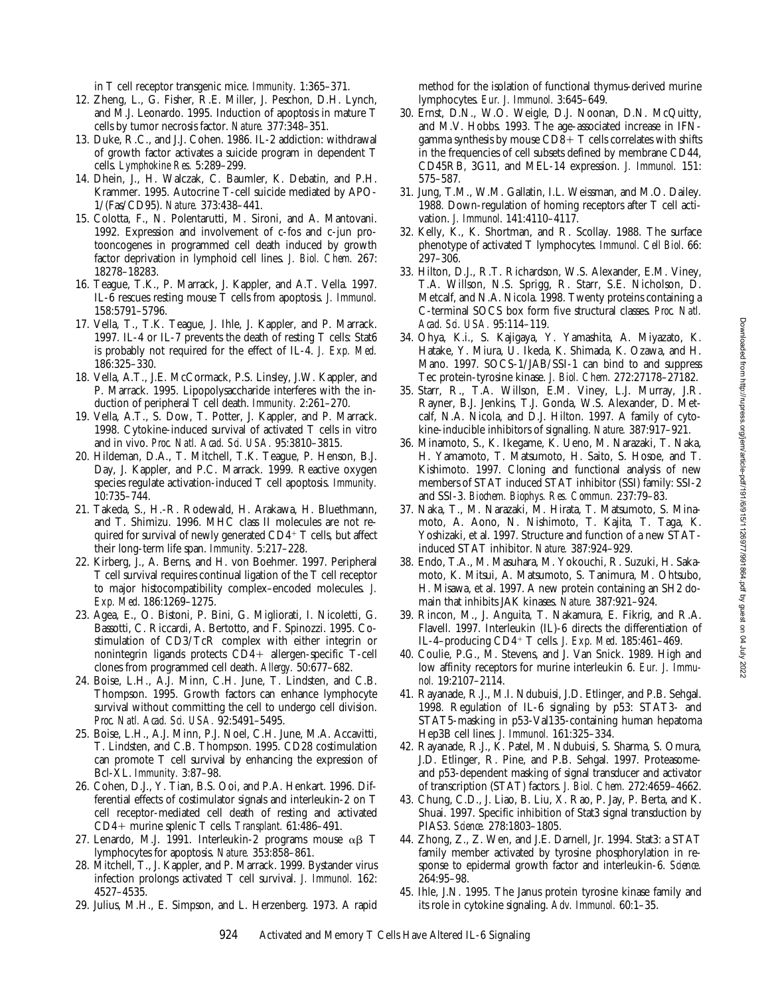- cells by tumor necrosis factor. *Nature.* 377:348–351. 13. Duke, R.C., and J.J. Cohen. 1986. IL-2 addiction: withdrawal of growth factor activates a suicide program in dependent T cells. *Lymphokine Res.* 5:289–299.
- 14. Dhein, J., H. Walczak, C. Baumler, K. Debatin, and P.H. Krammer. 1995. Autocrine T-cell suicide mediated by APO-1/(Fas/CD95). *Nature.* 373:438–441.
- 15. Colotta, F., N. Polentarutti, M. Sironi, and A. Mantovani. 1992. Expression and involvement of c-fos and c-jun protooncogenes in programmed cell death induced by growth factor deprivation in lymphoid cell lines. *J. Biol. Chem.* 267: 18278–18283.
- 16. Teague, T.K., P. Marrack, J. Kappler, and A.T. Vella. 1997. IL-6 rescues resting mouse T cells from apoptosis. *J. Immunol.* 158:5791–5796.
- 17. Vella, T., T.K. Teague, J. Ihle, J. Kappler, and P. Marrack. 1997. IL-4 or IL-7 prevents the death of resting T cells: Stat6 is probably not required for the effect of IL-4. *J. Exp. Med.* 186:325–330.
- 18. Vella, A.T., J.E. McCormack, P.S. Linsley, J.W. Kappler, and P. Marrack. 1995. Lipopolysaccharide interferes with the induction of peripheral T cell death. *Immunity.* 2:261–270.
- 19. Vella, A.T., S. Dow, T. Potter, J. Kappler, and P. Marrack. 1998. Cytokine-induced survival of activated T cells in vitro and in vivo. *Proc. Natl. Acad. Sci. USA.* 95:3810–3815.
- 20. Hildeman, D.A., T. Mitchell, T.K. Teague, P. Henson, B.J. Day, J. Kappler, and P.C. Marrack. 1999. Reactive oxygen species regulate activation-induced T cell apoptosis. *Immunity.* 10:735–744.
- 21. Takeda, S., H.-R. Rodewald, H. Arakawa, H. Bluethmann, and T. Shimizu. 1996. MHC class II molecules are not required for survival of newly generated  $CD4+T$  cells, but affect their long-term life span. *Immunity.* 5:217–228.
- 22. Kirberg, J., A. Berns, and H. von Boehmer. 1997. Peripheral T cell survival requires continual ligation of the T cell receptor to major histocompatibility complex–encoded molecules. *J. Exp. Med*. 186:1269–1275.
- 23. Agea, E., O. Bistoni, P. Bini, G. Migliorati, I. Nicoletti, G. Bassotti, C. Riccardi, A. Bertotto, and F. Spinozzi. 1995. Costimulation of CD3/TcR complex with either integrin or nonintegrin ligands protects  $CD4+$  allergen-specific T-cell clones from programmed cell death. *Allergy.* 50:677–682.
- 24. Boise, L.H., A.J. Minn, C.H. June, T. Lindsten, and C.B. Thompson. 1995. Growth factors can enhance lymphocyte survival without committing the cell to undergo cell division. *Proc. Natl. Acad. Sci. USA.* 92:5491–5495.
- 25. Boise, L.H., A.J. Minn, P.J. Noel, C.H. June, M.A. Accavitti, T. Lindsten, and C.B. Thompson. 1995. CD28 costimulation can promote T cell survival by enhancing the expression of Bcl-XL. *Immunity.* 3:87–98.
- 26. Cohen, D.J., Y. Tian, B.S. Ooi, and P.A. Henkart. 1996. Differential effects of costimulator signals and interleukin-2 on T cell receptor-mediated cell death of resting and activated CD41 murine splenic T cells. *Transplant.* 61:486–491.
- 27. Lenardo, M.J. 1991. Interleukin-2 programs mouse  $\alpha\beta$  T lymphocytes for apoptosis. *Nature.* 353:858–861.
- 28. Mitchell, T., J. Kappler, and P. Marrack. 1999. Bystander virus infection prolongs activated T cell survival. *J. Immunol.* 162: 4527–4535.
- 29. Julius, M.H., E. Simpson, and L. Herzenberg. 1973. A rapid

method for the isolation of functional thymus-derived murine lymphocytes. *Eur. J. Immunol.* 3:645–649.

- 30. Ernst, D.N., W.O. Weigle, D.J. Noonan, D.N. McQuitty, and M.V. Hobbs. 1993. The age-associated increase in IFNgamma synthesis by mouse  $CD8+T$  cells correlates with shifts in the frequencies of cell subsets defined by membrane CD44, CD45RB, 3G11, and MEL-14 expression. *J. Immunol.* 151: 575–587.
- 31. Jung, T.M., W.M. Gallatin, I.L. Weissman, and M.O. Dailey. 1988. Down-regulation of homing receptors after T cell activation. *J. Immunol*. 141:4110–4117.
- 32. Kelly, K., K. Shortman, and R. Scollay. 1988. The surface phenotype of activated T lymphocytes. *Immunol. Cell Biol*. 66: 297–306.
- 33. Hilton, D.J., R.T. Richardson, W.S. Alexander, E.M. Viney, T.A. Willson, N.S. Sprigg, R. Starr, S.E. Nicholson, D. Metcalf, and N.A. Nicola. 1998. Twenty proteins containing a C-terminal SOCS box form five structural classes. *Proc. Natl. Acad. Sci. USA.* 95:114–119.
- 34. Ohya, K.i., S. Kajigaya, Y. Yamashita, A. Miyazato, K. Hatake, Y. Miura, U. Ikeda, K. Shimada, K. Ozawa, and H. Mano. 1997. SOCS-1/JAB/SSI-1 can bind to and suppress Tec protein-tyrosine kinase. *J. Biol. Chem.* 272:27178–27182.
- 35. Starr, R., T.A. Willson, E.M. Viney, L.J. Murray, J.R. Rayner, B.J. Jenkins, T.J. Gonda, W.S. Alexander, D. Metcalf, N.A. Nicola, and D.J. Hilton. 1997. A family of cytokine-inducible inhibitors of signalling. *Nature.* 387:917–921.
- 36. Minamoto, S., K. Ikegame, K. Ueno, M. Narazaki, T. Naka, H. Yamamoto, T. Matsumoto, H. Saito, S. Hosoe, and T. Kishimoto. 1997. Cloning and functional analysis of new members of STAT induced STAT inhibitor (SSI) family: SSI-2 and SSI-3. *Biochem. Biophys. Res. Commun.* 237:79–83.
- 37. Naka, T., M. Narazaki, M. Hirata, T. Matsumoto, S. Minamoto, A. Aono, N. Nishimoto, T. Kajita, T. Taga, K. Yoshizaki, et al. 1997. Structure and function of a new STATinduced STAT inhibitor. *Nature.* 387:924–929.
- 38. Endo, T.A., M. Masuhara, M. Yokouchi, R. Suzuki, H. Sakamoto, K. Mitsui, A. Matsumoto, S. Tanimura, M. Ohtsubo, H. Misawa, et al. 1997. A new protein containing an SH2 domain that inhibits JAK kinases. *Nature.* 387:921–924.
- 39. Rincon, M., J. Anguita, T. Nakamura, E. Fikrig, and R.A. Flavell. 1997. Interleukin (IL)-6 directs the differentiation of IL-4–producing CD4<sup>1</sup> T cells. *J. Exp. Med*. 185:461–469.
- 40. Coulie, P.G., M. Stevens, and J. Van Snick. 1989. High and low affinity receptors for murine interleukin 6. *Eur. J. Immunol.* 19:2107–2114.
- 41. Rayanade, R.J., M.I. Ndubuisi, J.D. Etlinger, and P.B. Sehgal. 1998. Regulation of IL-6 signaling by p53: STAT3- and STAT5-masking in p53-Val135-containing human hepatoma Hep3B cell lines. *J. Immunol.* 161:325–334.
- 42. Rayanade, R.J., K. Patel, M. Ndubuisi, S. Sharma, S. Omura, J.D. Etlinger, R. Pine, and P.B. Sehgal. 1997. Proteasomeand p53-dependent masking of signal transducer and activator of transcription (STAT) factors. *J. Biol. Chem.* 272:4659–4662.
- 43. Chung, C.D., J. Liao, B. Liu, X. Rao, P. Jay, P. Berta, and K. Shuai. 1997. Specific inhibition of Stat3 signal transduction by PIAS3. *Science.* 278:1803–1805.
- 44. Zhong, Z., Z. Wen, and J.E. Darnell, Jr. 1994. Stat3: a STAT family member activated by tyrosine phosphorylation in response to epidermal growth factor and interleukin-6. *Science.* 264:95–98.
- 45. Ihle, J.N. 1995. The Janus protein tyrosine kinase family and its role in cytokine signaling. *Adv. Immunol.* 60:1–35.